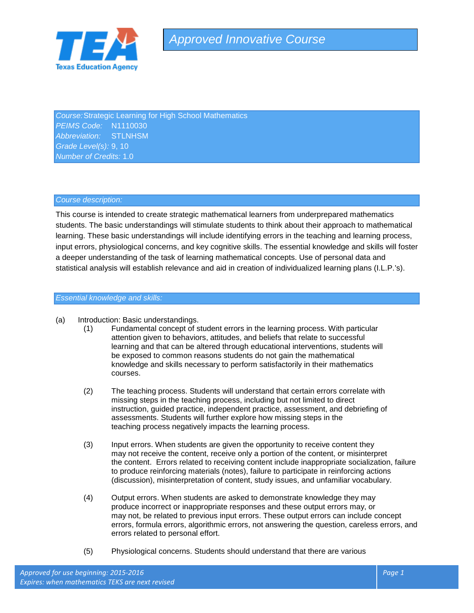

*Course:*Strategic Learning for High School Mathematics *PEIMS Code:* N1110030 *Abbreviation:* STLNHSM *Grade Level(s):* 9, 10 *Number of Credits:* 1.0

#### *Course description:*

This course is intended to create strategic mathematical learners from underprepared mathematics students. The basic understandings will stimulate students to think about their approach to mathematical learning. These basic understandings will include identifying errors in the teaching and learning process, input errors, physiological concerns, and key cognitive skills. The essential knowledge and skills will foster a deeper understanding of the task of learning mathematical concepts. Use of personal data and statistical analysis will establish relevance and aid in creation of individualized learning plans (I.L.P.'s).

# *Essential knowledge and skills:*

- (a) Introduction: Basic understandings.
	- (1) Fundamental concept of student errors in the learning process. With particular attention given to behaviors, attitudes, and beliefs that relate to successful learning and that can be altered through educational interventions, students will be exposed to common reasons students do not gain the mathematical knowledge and skills necessary to perform satisfactorily in their mathematics courses.
	- (2) The teaching process. Students will understand that certain errors correlate with missing steps in the teaching process, including but not limited to direct instruction, guided practice, independent practice, assessment, and debriefing of assessments. Students will further explore how missing steps in the teaching process negatively impacts the learning process.
	- (3) Input errors. When students are given the opportunity to receive content they may not receive the content, receive only a portion of the content, or misinterpret the content. Errors related to receiving content include inappropriate socialization, failure to produce reinforcing materials (notes), failure to participate in reinforcing actions (discussion), misinterpretation of content, study issues, and unfamiliar vocabulary.
	- (4) Output errors. When students are asked to demonstrate knowledge they may produce incorrect or inappropriate responses and these output errors may, or may not, be related to previous input errors. These output errors can include concept errors, formula errors, algorithmic errors, not answering the question, careless errors, and errors related to personal effort.
	- (5) Physiological concerns. Students should understand that there are various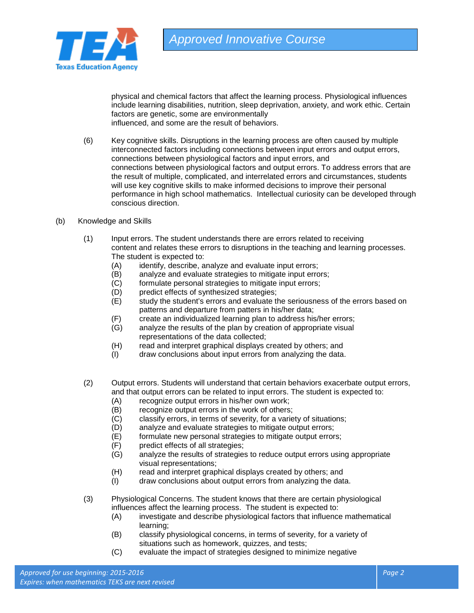

physical and chemical factors that affect the learning process. Physiological influences include learning disabilities, nutrition, sleep deprivation, anxiety, and work ethic. Certain factors are genetic, some are environmentally

influenced, and some are the result of behaviors.

- (6) Key cognitive skills. Disruptions in the learning process are often caused by multiple interconnected factors including connections between input errors and output errors, connections between physiological factors and input errors, and connections between physiological factors and output errors. To address errors that are the result of multiple, complicated, and interrelated errors and circumstances, students will use key cognitive skills to make informed decisions to improve their personal performance in high school mathematics. Intellectual curiosity can be developed through conscious direction.
- (b) Knowledge and Skills
	- (1) Input errors. The student understands there are errors related to receiving content and relates these errors to disruptions in the teaching and learning processes. The student is expected to:
		- (A) identify, describe, analyze and evaluate input errors;<br>(B) analyze and evaluate strategies to mitigate input erro
		- analyze and evaluate strategies to mitigate input errors;
		- (C) formulate personal strategies to mitigate input errors;
		- (D) predict effects of synthesized strategies;
		- (E) study the student's errors and evaluate the seriousness of the errors based on patterns and departure from patters in his/her data;
		- (F) create an individualized learning plan to address his/her errors;
		- analyze the results of the plan by creation of appropriate visual representations of the data collected;
		- (H) read and interpret graphical displays created by others; and
		- (I) draw conclusions about input errors from analyzing the data.
	- (2) Output errors. Students will understand that certain behaviors exacerbate output errors, and that output errors can be related to input errors. The student is expected to:
		- (A) recognize output errors in his/her own work;
		- (B) recognize output errors in the work of others;
		- (C) classify errors, in terms of severity, for a variety of situations;<br>(D) analyze and evaluate strategies to mitigate output errors:
		-
		- (D) analyze and evaluate strategies to mitigate output errors;<br>(E) formulate new personal strategies to mitigate output errors formulate new personal strategies to mitigate output errors;
		- (F) predict effects of all strategies;
		- (G) analyze the results of strategies to reduce output errors using appropriate visual representations;
		- (H) read and interpret graphical displays created by others; and (I) draw conclusions about output errors from analyzing the data
		- draw conclusions about output errors from analyzing the data.
	- (3) Physiological Concerns. The student knows that there are certain physiological influences affect the learning process. The student is expected to:
		- (A) investigate and describe physiological factors that influence mathematical learning;
		- (B) classify physiological concerns, in terms of severity, for a variety of situations such as homework, quizzes, and tests;
		- (C) evaluate the impact of strategies designed to minimize negative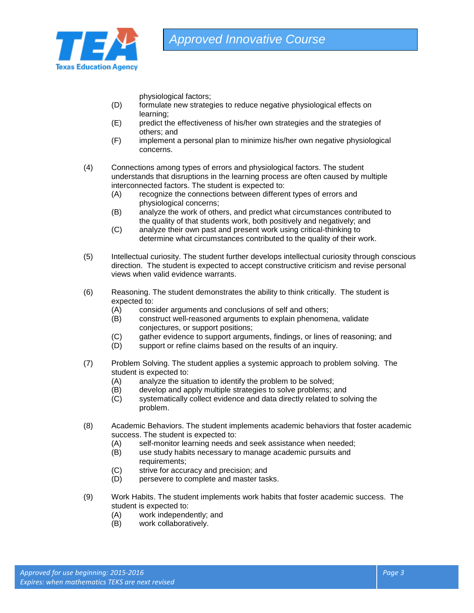

physiological factors;

- (D) formulate new strategies to reduce negative physiological effects on learning;
- (E) predict the effectiveness of his/her own strategies and the strategies of others; and
- (F) implement a personal plan to minimize his/her own negative physiological concerns.
- (4) Connections among types of errors and physiological factors. The student understands that disruptions in the learning process are often caused by multiple interconnected factors. The student is expected to:
	- (A) recognize the connections between different types of errors and physiological concerns;
	- (B) analyze the work of others, and predict what circumstances contributed to the quality of that students work, both positively and negatively; and
	- (C) analyze their own past and present work using critical-thinking to determine what circumstances contributed to the quality of their work.
- (5) Intellectual curiosity. The student further develops intellectual curiosity through conscious direction. The student is expected to accept constructive criticism and revise personal views when valid evidence warrants.
- (6) Reasoning. The student demonstrates the ability to think critically. The student is expected to:
	- (A) consider arguments and conclusions of self and others;
	- (B) construct well-reasoned arguments to explain phenomena, validate conjectures, or support positions;
	- (C) gather evidence to support arguments, findings, or lines of reasoning; and
	- (D) support or refine claims based on the results of an inquiry.
- (7) Problem Solving. The student applies a systemic approach to problem solving. The student is expected to:
	- (A) analyze the situation to identify the problem to be solved;
	- (B) develop and apply multiple strategies to solve problems; and
	- (C) systematically collect evidence and data directly related to solving the problem.
- (8) Academic Behaviors. The student implements academic behaviors that foster academic success. The student is expected to:
	- (A) self-monitor learning needs and seek assistance when needed;
	- (B) use study habits necessary to manage academic pursuits and requirements;
	- (C) strive for accuracy and precision; and
	- (D) persevere to complete and master tasks.
- (9) Work Habits. The student implements work habits that foster academic success. The student is expected to:
	- (A) work independently; and
	- (B) work collaboratively.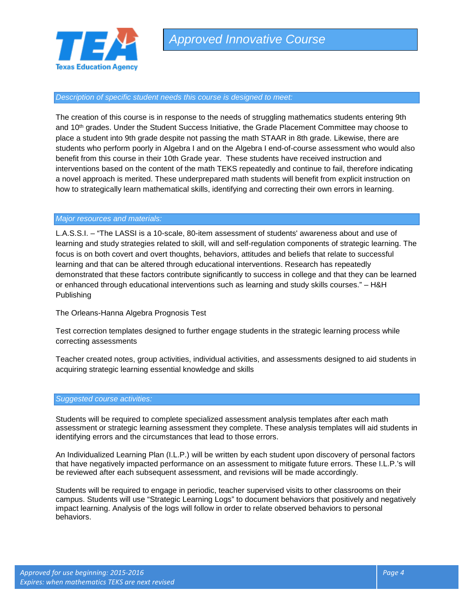

### *Description of specific student needs this course is designed to meet:*

The creation of this course is in response to the needs of struggling mathematics students entering 9th and 10<sup>th</sup> grades. Under the Student Success Initiative, the Grade Placement Committee may choose to place a student into 9th grade despite not passing the math STAAR in 8th grade. Likewise, there are students who perform poorly in Algebra I and on the Algebra I end-of-course assessment who would also benefit from this course in their 10th Grade year. These students have received instruction and interventions based on the content of the math TEKS repeatedly and continue to fail, therefore indicating a novel approach is merited. These underprepared math students will benefit from explicit instruction on how to strategically learn mathematical skills, identifying and correcting their own errors in learning.

### *Major resources and materials:*

L.A.S.S.I. – "The LASSI is a 10-scale, 80-item assessment of students' awareness about and use of learning and study strategies related to skill, will and self-regulation components of strategic learning. The focus is on both covert and overt thoughts, behaviors, attitudes and beliefs that relate to successful learning and that can be altered through educational interventions. Research has repeatedly demonstrated that these factors contribute significantly to success in college and that they can be learned or enhanced through educational interventions such as learning and study skills courses." – H&H Publishing

The Orleans-Hanna Algebra Prognosis Test

Test correction templates designed to further engage students in the strategic learning process while correcting assessments

Teacher created notes, group activities, individual activities, and assessments designed to aid students in acquiring strategic learning essential knowledge and skills

#### *Suggested course activities:*

Students will be required to complete specialized assessment analysis templates after each math assessment or strategic learning assessment they complete. These analysis templates will aid students in identifying errors and the circumstances that lead to those errors.

An Individualized Learning Plan (I.L.P.) will be written by each student upon discovery of personal factors that have negatively impacted performance on an assessment to mitigate future errors. These I.L.P.'s will be reviewed after each subsequent assessment, and revisions will be made accordingly.

Students will be required to engage in periodic, teacher supervised visits to other classrooms on their campus. Students will use "Strategic Learning Logs" to document behaviors that positively and negatively impact learning. Analysis of the logs will follow in order to relate observed behaviors to personal behaviors.